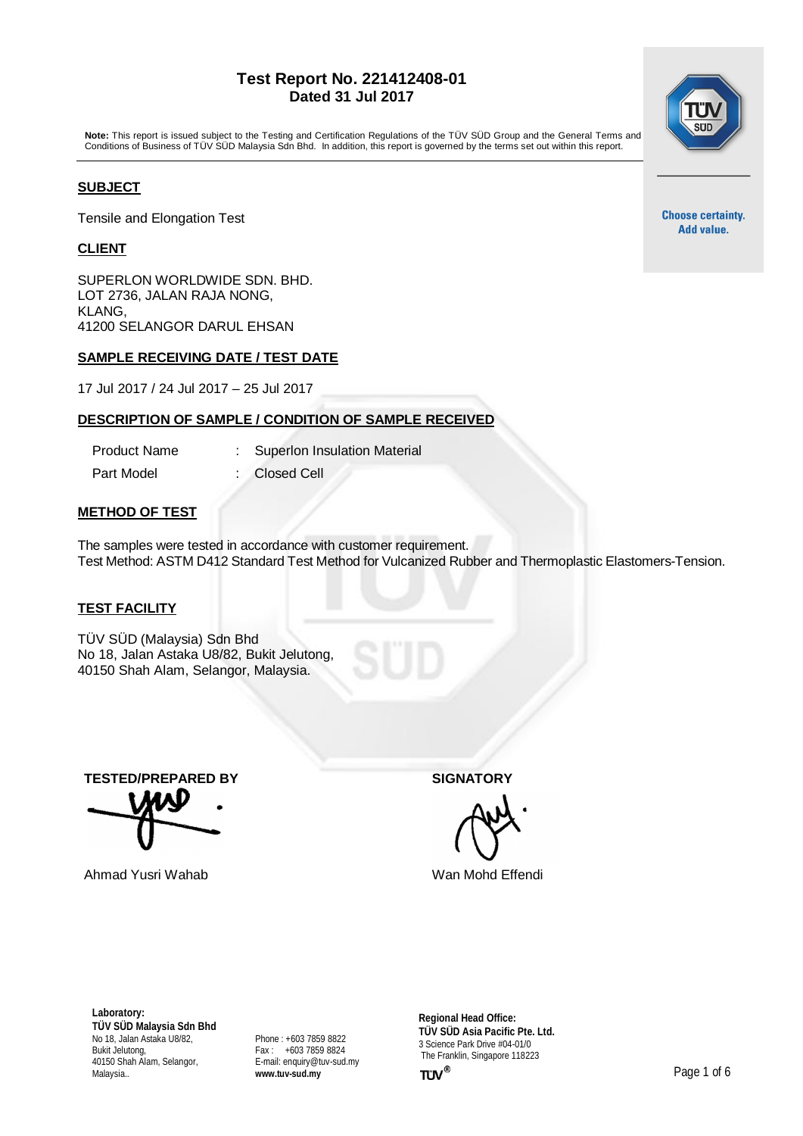## **Test Report No. 221412408-01 Dated 31 Jul 2017**

**Note:** This report is issued subject to the Testing and Certification Regulations of the TÜV SÜD Group and the General Terms and Conditions of Business of TÜV SÜD Malaysia Sdn Bhd. In addition, this report is governed by the terms set out within this report.

### **SUBJECT**

Tensile and Elongation Test

## **CLIENT**

SUPERLON WORLDWIDE SDN. BHD. LOT 2736, JALAN RAJA NONG, KLANG, 41200 SELANGOR DARUL EHSAN

### **SAMPLE RECEIVING DATE / TEST DATE**

17 Jul 2017 / 24 Jul 2017 – 25 Jul 2017

# **DESCRIPTION OF SAMPLE / CONDITION OF SAMPLE RECEIVED**

Product Name : Superlon Insulation Material Part Model : Closed Cell

# **METHOD OF TEST**

The samples were tested in accordance with customer requirement. Test Method: ASTM D412 Standard Test Method for Vulcanized Rubber and Thermoplastic Elastomers-Tension.

#### **TEST FACILITY**

TÜV SÜD (Malaysia) Sdn Bhd No 18, Jalan Astaka U8/82, Bukit Jelutong, 40150 Shah Alam, Selangor, Malaysia.

**TESTED/PREPARED BY SIGNATORY**

Ahmad Yusri Wahab Wan Mohd Effendi

**Laboratory: TÜV SÜD Malaysia Sdn Bhd** No 18, Jalan Astaka U8/82, Bukit Jelutong, 40150 Shah Alam, Selangor, Malaysia..

Phone : +603 7859 8822 Fax : +603 7859 8824 E-mail: [enquiry@tuv-sud.my](mailto:enquiry@tuv-sud.my) **[www.tuv-sud.my](http://www.tuv-sud.my/)**

**Regional Head Office: TÜV SÜD Asia Pacific Pte. Ltd.** 3 Science Park Drive #04-01/0 The Franklin, Singapore 118223



**Choose certainty.** Add value.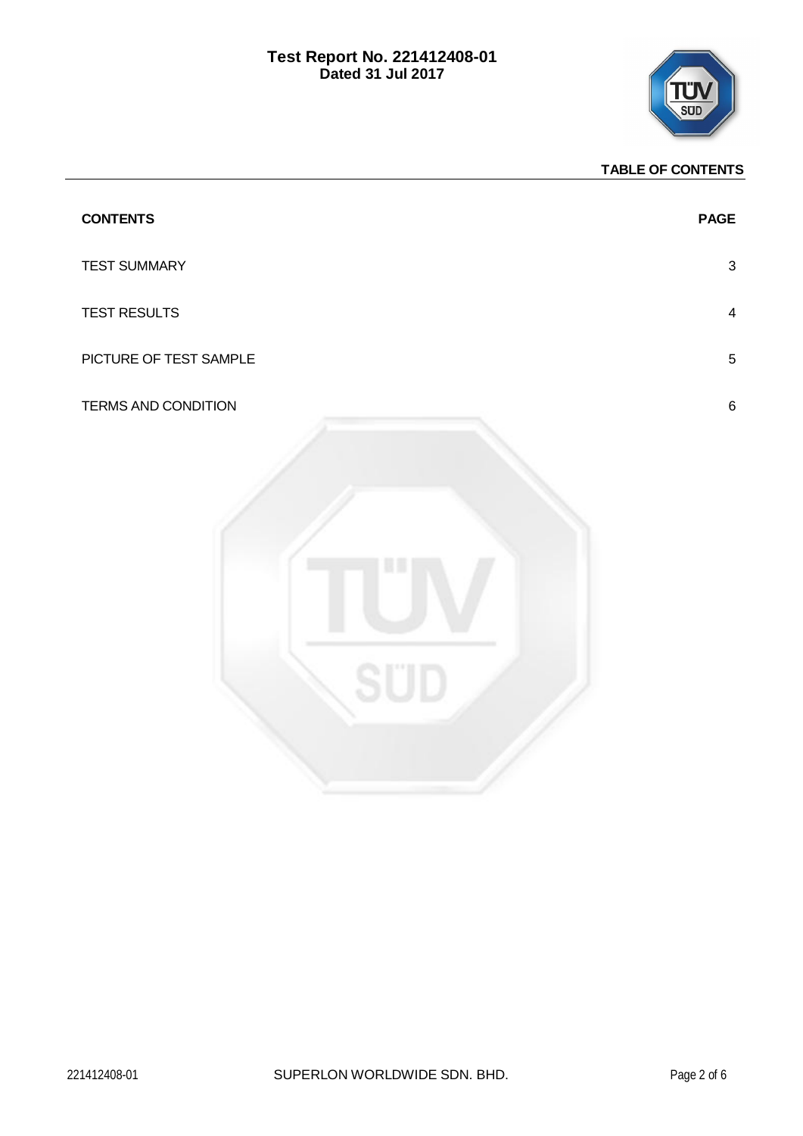

# **TABLE OF CONTENTS**

| <b>CONTENTS</b>        | <b>PAGE</b>    |
|------------------------|----------------|
| <b>TEST SUMMARY</b>    | $\mathbf{3}$   |
| TEST RESULTS           | $\overline{4}$ |
| PICTURE OF TEST SAMPLE | $\sqrt{5}$     |
| TERMS AND CONDITION    | $\, 6$         |
|                        |                |
|                        |                |
|                        |                |
|                        |                |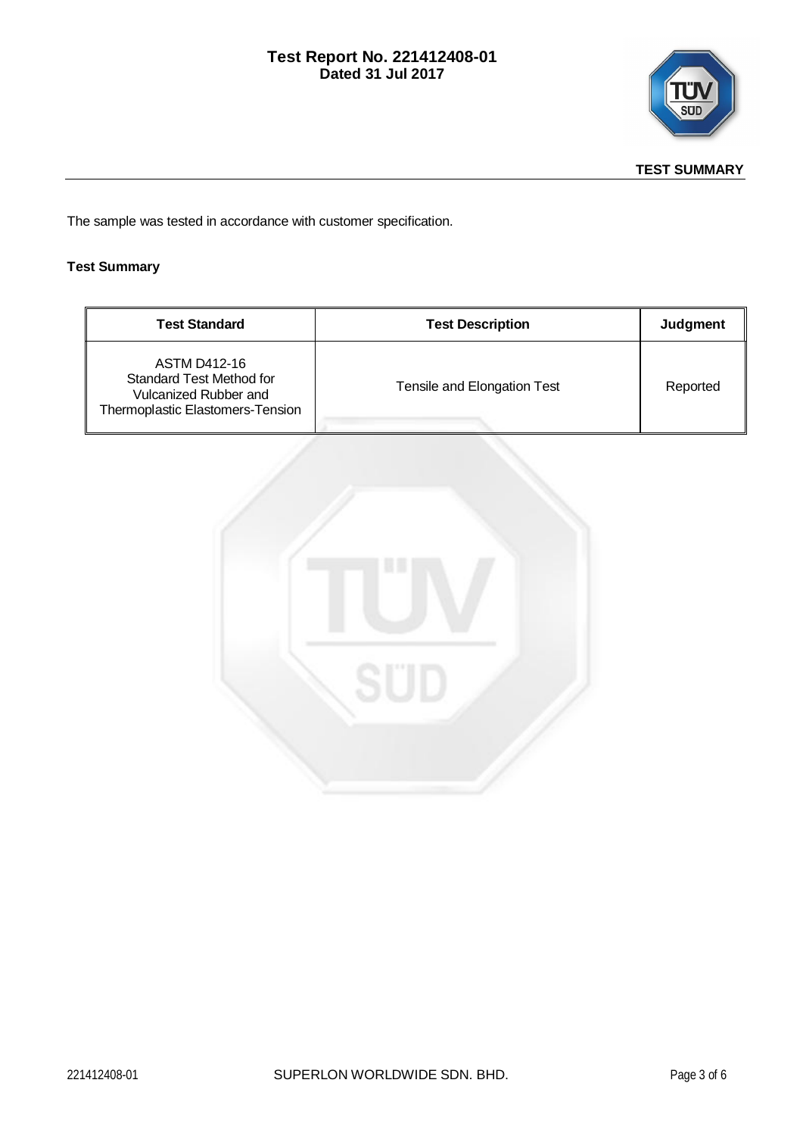



The sample was tested in accordance with customer specification.

# **Test Summary**

| <b>Test Standard</b>                                                                                                | <b>Test Description</b>     | Judgment |
|---------------------------------------------------------------------------------------------------------------------|-----------------------------|----------|
| ASTM D412-16<br><b>Standard Test Method for</b><br>Vulcanized Rubber and<br><b>Thermoplastic Elastomers-Tension</b> | Tensile and Elongation Test | Reported |

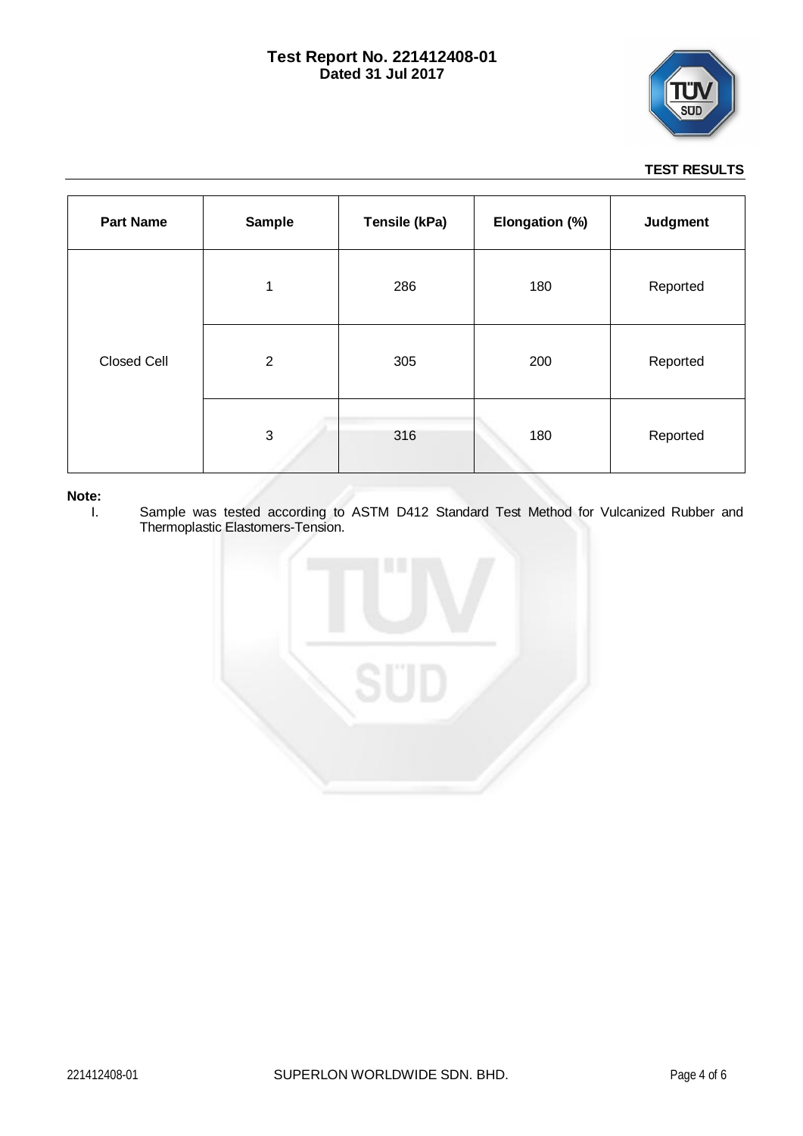

# **TEST RESULTS**

| <b>Part Name</b>   | <b>Sample</b>  | Tensile (kPa) | Elongation (%) | Judgment |
|--------------------|----------------|---------------|----------------|----------|
| <b>Closed Cell</b> | 1              | 286           | 180            | Reported |
|                    | $\overline{2}$ | 305           | 200            | Reported |
|                    | 3              | 316           | 180            | Reported |

# **Note:**

I. Sample was tested according to ASTM D412 Standard Test Method for Vulcanized Rubber and Thermoplastic Elastomers-Tension.

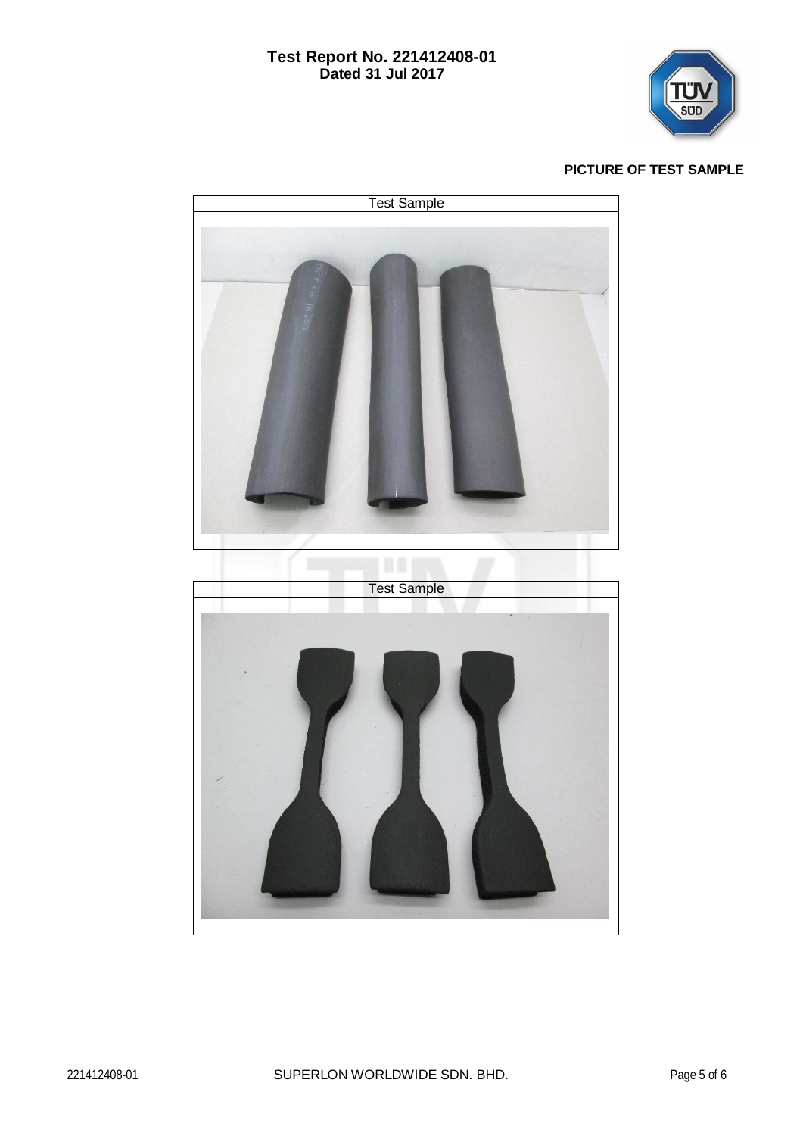# **Test Report No. 221412408-01 Dated 31 Jul 2017**



# **PICTURE OF TEST SAMPLE**